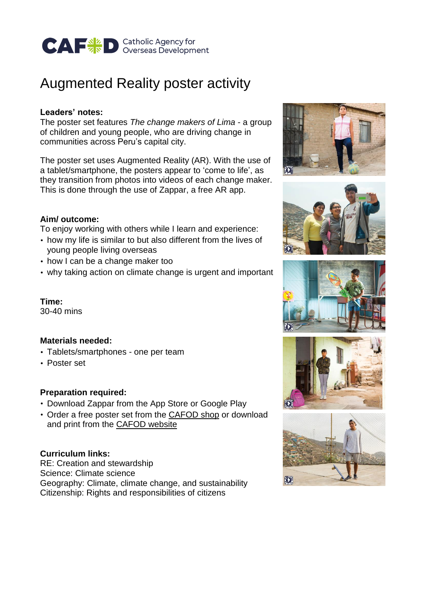

# Augmented Reality poster activity

#### **Leaders' notes:**

The poster set features *The change makers of Lima* - a group of children and young people, who are driving change in communities across Peru's capital city.

The poster set uses Augmented Reality (AR). With the use of a tablet/smartphone, the posters appear to 'come to life', as they transition from photos into videos of each change maker. This is done through the use of Zappar, a free AR app.

#### **Aim/ outcome:**

To enjoy working with others while I learn and experience:

- how my life is similar to but also different from the lives of young people living overseas
- how I can be a change maker too
- why taking action on climate change is urgent and important

**Time:** 30-40 mins

#### **Materials needed:**

- Tablets/smartphones one per team
- Poster set

#### **Preparation required:**

- Download Zappar from the App Store or Google Play
- Order a free poster set from the [CAFOD](https://shop.cafod.org.uk/collections/frontpage/secondary-school) shop or download and print from the [CAFOD](https://cafod.org.uk/Education/Secondary-and-youth-resources/Change-makers-in-Peru) website

#### **Curriculum links:**

RE: Creation and stewardship Science: Climate science Geography: Climate, climate change, and sustainability Citizenship: Rights and responsibilities of citizens









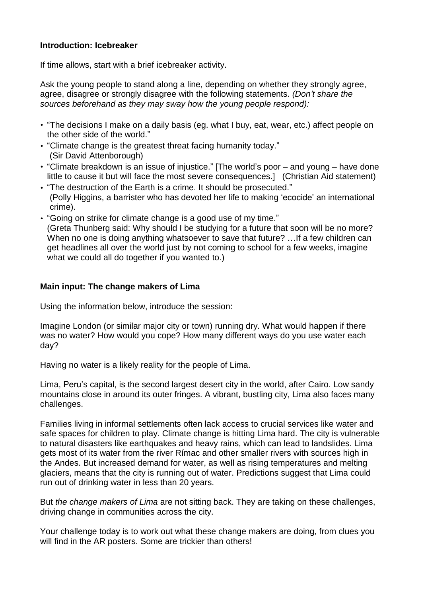#### **Introduction: Icebreaker**

If time allows, start with a brief icebreaker activity.

Ask the young people to stand along a line, depending on whether they strongly agree, agree, disagree or strongly disagree with the following statements. *(Don't share the sources beforehand as they may sway how the young people respond):*

- "The decisions I make on a daily basis (eg. what I buy, eat, wear, etc.) affect people on the other side of the world."
- "Climate change is the greatest threat facing humanity today." (Sir David Attenborough)
- "Climate breakdown is an issue of injustice." [The world's poor and young have done little to cause it but will face the most severe consequences.] (Christian Aid statement)
- "The destruction of the Earth is a crime. It should be prosecuted." (Polly Higgins, a barrister who has devoted her life to making 'ecocide' an international crime).
- "Going on strike for climate change is a good use of my time." (Greta Thunberg said: Why should I be studying for a future that soon will be no more? When no one is doing anything whatsoever to save that future? ... If a few children can get headlines all over the world just by not coming to school for a few weeks, imagine what we could all do together if you wanted to.)

### **Main input: The change makers of Lima**

Using the information below, introduce the session:

Imagine London (or similar major city or town) running dry. What would happen if there was no water? How would you cope? How many different ways do you use water each day?

Having no water is a likely reality for the people of Lima.

Lima, Peru's capital, is the second largest desert city in the world, after Cairo. Low sandy mountains close in around its outer fringes. A vibrant, bustling city, Lima also faces many challenges.

Families living in informal settlements often lack access to crucial services like water and safe spaces for children to play. Climate change is hitting Lima hard. The city is vulnerable to natural disasters like earthquakes and heavy rains, which can lead to landslides. Lima gets most of its water from the river Rímac and other smaller rivers with sources high in the Andes. But increased demand for water, as well as rising temperatures and melting glaciers, means that the city is running out of water. Predictions suggest that Lima could run out of drinking water in less than 20 years.

But *the change makers of Lima* are not sitting back. They are taking on these challenges, driving change in communities across the city.

Your challenge today is to work out what these change makers are doing, from clues you will find in the AR posters. Some are trickier than others!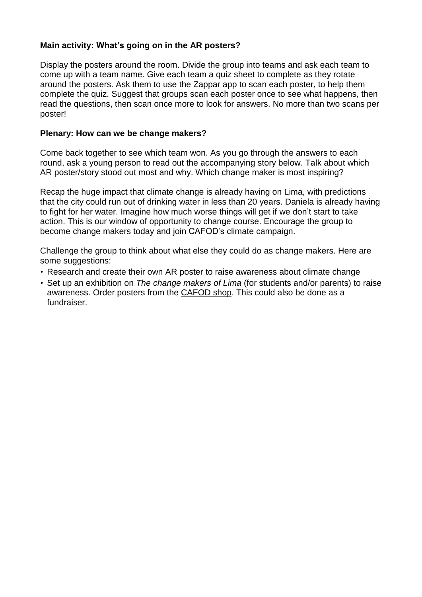#### **Main activity: What's going on in the AR posters?**

Display the posters around the room. Divide the group into teams and ask each team to come up with a team name. Give each team a quiz sheet to complete as they rotate around the posters. Ask them to use the Zappar app to scan each poster, to help them complete the quiz. Suggest that groups scan each poster once to see what happens, then read the questions, then scan once more to look for answers. No more than two scans per poster!

#### **Plenary: How can we be change makers?**

Come back together to see which team won. As you go through the answers to each round, ask a young person to read out the accompanying story below. Talk about which AR poster/story stood out most and why. Which change maker is most inspiring?

Recap the huge impact that climate change is already having on Lima, with predictions that the city could run out of drinking water in less than 20 years. Daniela is already having to fight for her water. Imagine how much worse things will get if we don't start to take action. This is our window of opportunity to change course. Encourage the group to become change makers today and join CAFOD's climate campaign.

Challenge the group to think about what else they could do as change makers. Here are some suggestions:

- Research and create their own AR poster to raise awareness about climate change
- Set up an exhibition on *The change makers of Lima* (for students and/or parents) to raise awareness. Order posters from the [CAFOD](https://shop.cafod.org.uk/collections/frontpage/secondary-school) shop. This could also be done as a fundraiser.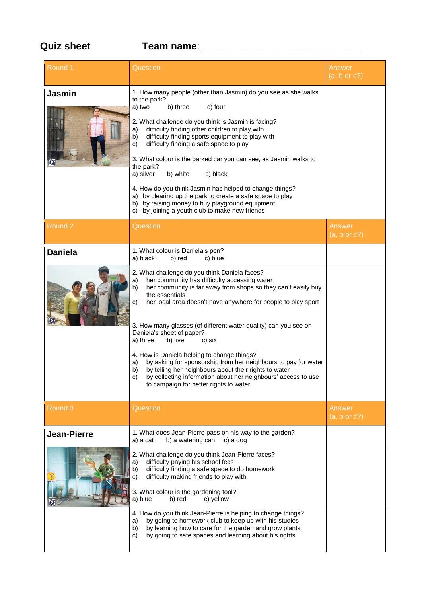## **Quiz sheet Team name**: \_\_\_\_\_\_\_\_\_\_\_\_\_\_\_\_\_\_\_\_\_\_\_\_\_\_\_\_\_

| Round 1            | Question                                                                                                                                                                                                                                                                                                                                                                                                                                                                                                                                                                                                                                                                                                      | Answer<br>(a, b or c?) |
|--------------------|---------------------------------------------------------------------------------------------------------------------------------------------------------------------------------------------------------------------------------------------------------------------------------------------------------------------------------------------------------------------------------------------------------------------------------------------------------------------------------------------------------------------------------------------------------------------------------------------------------------------------------------------------------------------------------------------------------------|------------------------|
| <b>Jasmin</b>      | 1. How many people (other than Jasmin) do you see as she walks<br>to the park?<br>c) four<br>a) two<br>b) three                                                                                                                                                                                                                                                                                                                                                                                                                                                                                                                                                                                               |                        |
|                    | 2. What challenge do you think is Jasmin is facing?<br>difficulty finding other children to play with<br>a)<br>difficulty finding sports equipment to play with<br>b)<br>difficulty finding a safe space to play<br>c)                                                                                                                                                                                                                                                                                                                                                                                                                                                                                        |                        |
|                    | 3. What colour is the parked car you can see, as Jasmin walks to<br>the park?<br>a) silver<br>b) white<br>c) black                                                                                                                                                                                                                                                                                                                                                                                                                                                                                                                                                                                            |                        |
|                    | 4. How do you think Jasmin has helped to change things?<br>a) by clearing up the park to create a safe space to play<br>b) by raising money to buy playground equipment<br>c) by joining a youth club to make new friends                                                                                                                                                                                                                                                                                                                                                                                                                                                                                     |                        |
| Round 2            | Question                                                                                                                                                                                                                                                                                                                                                                                                                                                                                                                                                                                                                                                                                                      | Answer<br>(a, b or c?) |
| <b>Daniela</b>     | 1. What colour is Daniela's pen?<br>a) black<br>b) red<br>c) blue                                                                                                                                                                                                                                                                                                                                                                                                                                                                                                                                                                                                                                             |                        |
|                    | 2. What challenge do you think Daniela faces?<br>her community has difficulty accessing water<br>a)<br>her community is far away from shops so they can't easily buy<br>b)<br>the essentials<br>her local area doesn't have anywhere for people to play sport<br>c)<br>3. How many glasses (of different water quality) can you see on<br>Daniela's sheet of paper?<br>a) three<br>b) five<br>c) six<br>4. How is Daniela helping to change things?<br>by asking for sponsorship from her neighbours to pay for water<br>a)<br>by telling her neighbours about their rights to water<br>b)<br>by collecting information about her neighbours' access to use<br>c) —<br>to campaign for better rights to water |                        |
| Round 3            | Question                                                                                                                                                                                                                                                                                                                                                                                                                                                                                                                                                                                                                                                                                                      | Answer<br>(a, b or c?) |
| <b>Jean-Pierre</b> | 1. What does Jean-Pierre pass on his way to the garden?<br>a) a cat<br>b) a watering can<br>c) a dog                                                                                                                                                                                                                                                                                                                                                                                                                                                                                                                                                                                                          |                        |
|                    | 2. What challenge do you think Jean-Pierre faces?<br>difficulty paying his school fees<br>a)<br>difficulty finding a safe space to do homework<br>b)<br>difficulty making friends to play with<br>c)<br>3. What colour is the gardening tool?<br>a) blue<br>b) red<br>c) yellow                                                                                                                                                                                                                                                                                                                                                                                                                               |                        |
|                    | 4. How do you think Jean-Pierre is helping to change things?<br>by going to homework club to keep up with his studies<br>a)<br>by learning how to care for the garden and grow plants<br>b)<br>by going to safe spaces and learning about his rights<br>c)                                                                                                                                                                                                                                                                                                                                                                                                                                                    |                        |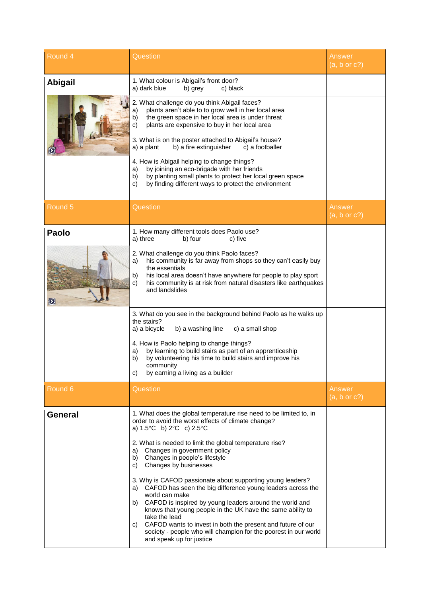| Round 4        | Question                                                                                                                                                                                                                                                                                                                                                                                                                                                                                                                                                                              | Answer<br>(a, b or c?) |
|----------------|---------------------------------------------------------------------------------------------------------------------------------------------------------------------------------------------------------------------------------------------------------------------------------------------------------------------------------------------------------------------------------------------------------------------------------------------------------------------------------------------------------------------------------------------------------------------------------------|------------------------|
| <b>Abigail</b> | 1. What colour is Abigail's front door?<br>a) dark blue<br>b) grey<br>c) black                                                                                                                                                                                                                                                                                                                                                                                                                                                                                                        |                        |
|                | 2. What challenge do you think Abigail faces?<br>plants aren't able to to grow well in her local area<br>a)<br>the green space in her local area is under threat<br>b)<br>plants are expensive to buy in her local area<br>c)<br>3. What is on the poster attached to Abigail's house?<br>a) a plant<br>b) a fire extinguisher<br>c) a footballer<br>4. How is Abigail helping to change things?<br>by joining an eco-brigade with her friends<br>a)<br>by planting small plants to protect her local green space<br>b)<br>by finding different ways to protect the environment<br>C) |                        |
| Round 5        | Question                                                                                                                                                                                                                                                                                                                                                                                                                                                                                                                                                                              | Answer<br>(a, b or c?) |
| <b>Paolo</b>   | 1. How many different tools does Paolo use?<br>a) three<br>b) four<br>c) five                                                                                                                                                                                                                                                                                                                                                                                                                                                                                                         |                        |
| 溪              | 2. What challenge do you think Paolo faces?<br>his community is far away from shops so they can't easily buy<br>a)<br>the essentials<br>his local area doesn't have anywhere for people to play sport<br>b)<br>his community is at risk from natural disasters like earthquakes<br>c)<br>and landslides                                                                                                                                                                                                                                                                               |                        |
|                | 3. What do you see in the background behind Paolo as he walks up<br>the stairs?<br>a) a bicycle<br>b) a washing line<br>c) a small shop                                                                                                                                                                                                                                                                                                                                                                                                                                               |                        |
|                | 4. How is Paolo helping to change things?<br>by learning to build stairs as part of an apprenticeship<br>a)<br>by volunteering his time to build stairs and improve his<br>b)<br>community<br>by earning a living as a builder<br>C)                                                                                                                                                                                                                                                                                                                                                  |                        |
| Round 6        | Question                                                                                                                                                                                                                                                                                                                                                                                                                                                                                                                                                                              | Answer<br>(a, b or c?) |
| <b>General</b> | 1. What does the global temperature rise need to be limited to, in<br>order to avoid the worst effects of climate change?<br>a) $1.5^{\circ}C$ b) $2^{\circ}C$ c) $2.5^{\circ}C$<br>2. What is needed to limit the global temperature rise?<br>Changes in government policy<br>a)<br>Changes in people's lifestyle<br>b)<br>Changes by businesses<br>C)                                                                                                                                                                                                                               |                        |
|                | 3. Why is CAFOD passionate about supporting young leaders?<br>CAFOD has seen the big difference young leaders across the<br>a)<br>world can make<br>b) CAFOD is inspired by young leaders around the world and<br>knows that young people in the UK have the same ability to<br>take the lead<br>CAFOD wants to invest in both the present and future of our<br>C)<br>society - people who will champion for the poorest in our world<br>and speak up for justice                                                                                                                     |                        |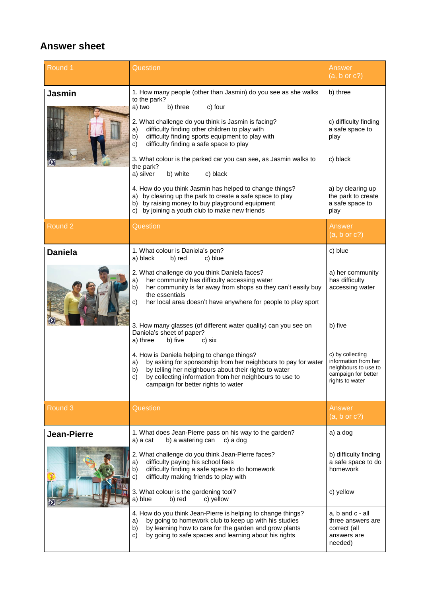## **Answer sheet**

| Round 1            | Question                                                                                                                                                                                                                                                                                                                                                                                                                                                                                                                                                                                   | Answer<br>(a, b or c?)                                                                                                               |
|--------------------|--------------------------------------------------------------------------------------------------------------------------------------------------------------------------------------------------------------------------------------------------------------------------------------------------------------------------------------------------------------------------------------------------------------------------------------------------------------------------------------------------------------------------------------------------------------------------------------------|--------------------------------------------------------------------------------------------------------------------------------------|
| <b>Jasmin</b>      | 1. How many people (other than Jasmin) do you see as she walks<br>to the park?<br>c) four<br>a) two<br>b) three<br>2. What challenge do you think is Jasmin is facing?<br>difficulty finding other children to play with<br>a)<br>difficulty finding sports equipment to play with<br>b)<br>difficulty finding a safe space to play<br>c)                                                                                                                                                                                                                                                  | b) three<br>c) difficulty finding<br>a safe space to<br>play                                                                         |
|                    | 3. What colour is the parked car you can see, as Jasmin walks to<br>the park?<br>b) white<br>c) black<br>a) silver                                                                                                                                                                                                                                                                                                                                                                                                                                                                         | c) black                                                                                                                             |
|                    | 4. How do you think Jasmin has helped to change things?<br>a) by clearing up the park to create a safe space to play<br>b) by raising money to buy playground equipment<br>c) by joining a youth club to make new friends                                                                                                                                                                                                                                                                                                                                                                  | a) by clearing up<br>the park to create<br>a safe space to<br>play                                                                   |
| Round <sub>2</sub> | Question                                                                                                                                                                                                                                                                                                                                                                                                                                                                                                                                                                                   | Answer<br>(a, b or c?)                                                                                                               |
| <b>Daniela</b>     | 1. What colour is Daniela's pen?<br>a) black<br>b) red<br>c) blue                                                                                                                                                                                                                                                                                                                                                                                                                                                                                                                          | c) blue                                                                                                                              |
|                    | 2. What challenge do you think Daniela faces?<br>her community has difficulty accessing water<br>a)<br>her community is far away from shops so they can't easily buy<br>b)<br>the essentials<br>her local area doesn't have anywhere for people to play sport<br>c)<br>3. How many glasses (of different water quality) can you see on<br>Daniela's sheet of paper?<br>a) three<br>b) five<br>c) six<br>4. How is Daniela helping to change things?<br>by asking for sponsorship from her neighbours to pay for water<br>a)<br>by telling her neighbours about their rights to water<br>b) | a) her community<br>has difficulty<br>accessing water<br>b) five<br>c) by collecting<br>information from her<br>neighbours to use to |
|                    | by collecting information from her neighbours to use to<br>c)<br>campaign for better rights to water                                                                                                                                                                                                                                                                                                                                                                                                                                                                                       | campaign for better<br>rights to water                                                                                               |
| Round 3            | Question                                                                                                                                                                                                                                                                                                                                                                                                                                                                                                                                                                                   | Answer<br>(a, b or c?)                                                                                                               |
| <b>Jean-Pierre</b> | 1. What does Jean-Pierre pass on his way to the garden?<br>a) a cat<br>b) a watering can<br>c) a dog                                                                                                                                                                                                                                                                                                                                                                                                                                                                                       | a) a dog                                                                                                                             |
|                    | 2. What challenge do you think Jean-Pierre faces?<br>difficulty paying his school fees<br>a)<br>difficulty finding a safe space to do homework<br>b)<br>difficulty making friends to play with<br>c)                                                                                                                                                                                                                                                                                                                                                                                       | b) difficulty finding<br>a safe space to do<br>homework                                                                              |
|                    | 3. What colour is the gardening tool?<br>a) blue<br>b) red<br>c) yellow<br>4. How do you think Jean-Pierre is helping to change things?                                                                                                                                                                                                                                                                                                                                                                                                                                                    | c) yellow<br>$a, b$ and $c - al$                                                                                                     |
|                    | by going to homework club to keep up with his studies<br>a)<br>by learning how to care for the garden and grow plants<br>b)<br>by going to safe spaces and learning about his rights<br>C)                                                                                                                                                                                                                                                                                                                                                                                                 | three answers are<br>correct (all<br>answers are<br>needed)                                                                          |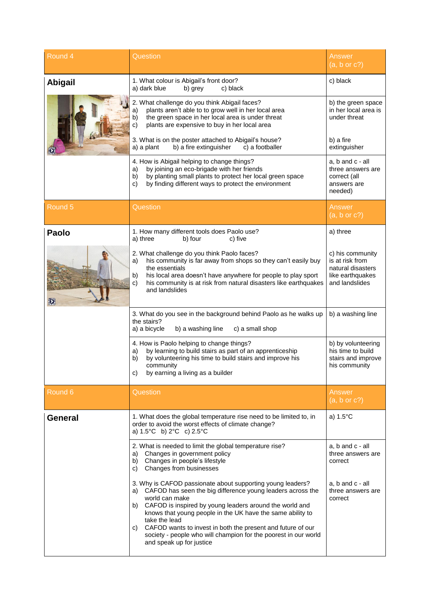| Round 4        | Question                                                                                                                                                                                                                                                                                                                                                                                                                                                          | <b>Answer</b><br>(a, b or c?)                                                                  |
|----------------|-------------------------------------------------------------------------------------------------------------------------------------------------------------------------------------------------------------------------------------------------------------------------------------------------------------------------------------------------------------------------------------------------------------------------------------------------------------------|------------------------------------------------------------------------------------------------|
| <b>Abigail</b> | 1. What colour is Abigail's front door?<br>a) dark blue<br>b) grey<br>c) black                                                                                                                                                                                                                                                                                                                                                                                    | c) black                                                                                       |
|                | 2. What challenge do you think Abigail faces?<br>plants aren't able to to grow well in her local area<br>a)<br>the green space in her local area is under threat<br>b)<br>plants are expensive to buy in her local area<br>C)                                                                                                                                                                                                                                     | b) the green space<br>in her local area is<br>under threat                                     |
|                | 3. What is on the poster attached to Abigail's house?<br>b) a fire extinguisher<br>a) a plant<br>c) a footballer                                                                                                                                                                                                                                                                                                                                                  | b) a fire<br>extinguisher                                                                      |
|                | 4. How is Abigail helping to change things?<br>by joining an eco-brigade with her friends<br>a)<br>by planting small plants to protect her local green space<br>b)<br>by finding different ways to protect the environment<br>C)                                                                                                                                                                                                                                  | $a, b$ and $c - al$<br>three answers are<br>correct (all<br>answers are<br>needed)             |
| Round 5        | Question                                                                                                                                                                                                                                                                                                                                                                                                                                                          | Answer<br>(a, b or c?)                                                                         |
| <b>Paolo</b>   | 1. How many different tools does Paolo use?<br>a) three<br>b) four<br>c) five                                                                                                                                                                                                                                                                                                                                                                                     | a) three                                                                                       |
| 溪              | 2. What challenge do you think Paolo faces?<br>his community is far away from shops so they can't easily buy<br>a)<br>the essentials<br>his local area doesn't have anywhere for people to play sport<br>b)<br>his community is at risk from natural disasters like earthquakes<br>C)<br>and landslides                                                                                                                                                           | c) his community<br>is at risk from<br>natural disasters<br>like earthquakes<br>and landslides |
|                | 3. What do you see in the background behind Paolo as he walks up<br>the stairs?<br>a) a bicycle<br>b) a washing line<br>c) a small shop                                                                                                                                                                                                                                                                                                                           | b) a washing line                                                                              |
|                | 4. How is Paolo helping to change things?<br>by learning to build stairs as part of an apprenticeship<br>a)<br>by volunteering his time to build stairs and improve his<br>b)<br>community<br>by earning a living as a builder<br>C)                                                                                                                                                                                                                              | b) by volunteering<br>his time to build<br>stairs and improve<br>his community                 |
| Round 6        | Question                                                                                                                                                                                                                                                                                                                                                                                                                                                          | Answer<br>(a, b or c?)                                                                         |
| <b>General</b> | 1. What does the global temperature rise need to be limited to, in<br>order to avoid the worst effects of climate change?<br>a) $1.5^{\circ}C$ b) $2^{\circ}C$ c) $2.5^{\circ}C$                                                                                                                                                                                                                                                                                  | a) 1.5°C                                                                                       |
|                | 2. What is needed to limit the global temperature rise?<br>Changes in government policy<br>a)<br>Changes in people's lifestyle<br>b)<br>Changes from businesses<br>C)                                                                                                                                                                                                                                                                                             | $a, b$ and $c - al$<br>three answers are<br>correct                                            |
|                | 3. Why is CAFOD passionate about supporting young leaders?<br>a) CAFOD has seen the big difference young leaders across the<br>world can make<br>CAFOD is inspired by young leaders around the world and<br>b)<br>knows that young people in the UK have the same ability to<br>take the lead<br>CAFOD wants to invest in both the present and future of our<br>C)<br>society - people who will champion for the poorest in our world<br>and speak up for justice | $a, b$ and $c$ - all<br>three answers are<br>correct                                           |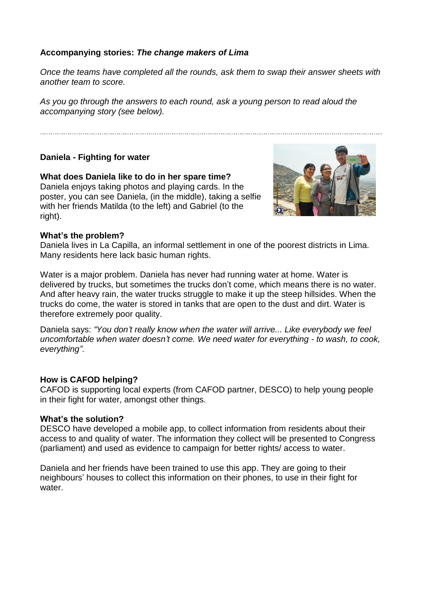### **Accompanying stories:** *The change makers of Lima*

*Once the teams have completed all the rounds, ask them to swap their answer sheets with another team to score.*

*As you go through the answers to each round, ask a young person to read aloud the accompanying story (see below).*

### **Daniela - Fighting for water**

#### **What does Daniela like to do in her spare time?**

Daniela enjoys taking photos and playing cards. In the poster, you can see Daniela, (in the middle), taking a selfie with her friends Matilda (to the left) and Gabriel (to the right).



#### **What's the problem?**

Daniela lives in La Capilla, an informal settlement in one of the poorest districts in Lima. Many residents here lack basic human rights.

Water is a major problem. Daniela has never had running water at home. Water is delivered by trucks, but sometimes the trucks don't come, which means there is no water. And after heavy rain, the water trucks struggle to make it up the steep hillsides. When the trucks do come, the water is stored in tanks that are open to the dust and dirt. Water is therefore extremely poor quality.

Daniela says: *"You don't really know when the water will arrive... Like everybody we feel uncomfortable when water doesn't come. We need water for everything - to wash, to cook, everything".*

### **How is CAFOD helping?**

CAFOD is supporting local experts (from CAFOD partner, DESCO) to help young people in their fight for water, amongst other things.

#### **What's the solution?**

DESCO have developed a mobile app, to collect information from residents about their access to and quality of water. The information they collect will be presented to Congress (parliament) and used as evidence to campaign for better rights/ access to water.

Daniela and her friends have been trained to use this app. They are going to their neighbours' houses to collect this information on their phones, to use in their fight for water.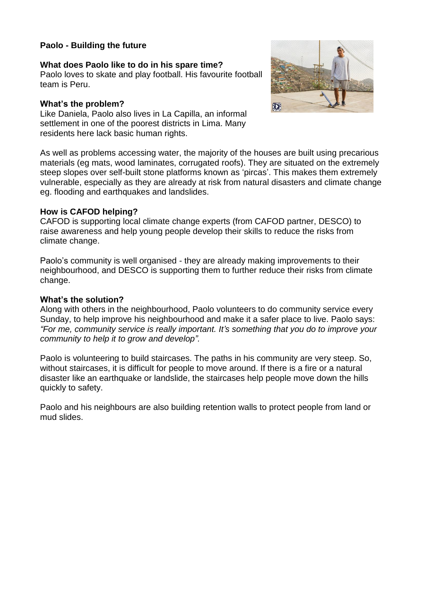#### **Paolo - Building the future**

#### **What does Paolo like to do in his spare time?**

Paolo loves to skate and play football. His favourite football team is Peru.

#### **What's the problem?**

Like Daniela, Paolo also lives in La Capilla, an informal settlement in one of the poorest districts in Lima. Many residents here lack basic human rights.



As well as problems accessing water, the majority of the houses are built using precarious materials (eg mats, wood laminates, corrugated roofs). They are situated on the extremely steep slopes over self-built stone platforms known as 'pircas'. This makes them extremely vulnerable, especially as they are already at risk from natural disasters and climate change eg. flooding and earthquakes and landslides.

#### **How is CAFOD helping?**

CAFOD is supporting local climate change experts (from CAFOD partner, DESCO) to raise awareness and help young people develop their skills to reduce the risks from climate change.

Paolo's community is well organised - they are already making improvements to their neighbourhood, and DESCO is supporting them to further reduce their risks from climate change.

#### **What's the solution?**

Along with others in the neighbourhood, Paolo volunteers to do community service every Sunday, to help improve his neighbourhood and make it a safer place to live. Paolo says: *"For me, community service is really important. It's something that you do to improve your community to help it to grow and develop".*

Paolo is volunteering to build staircases. The paths in his community are very steep. So, without staircases, it is difficult for people to move around. If there is a fire or a natural disaster like an earthquake or landslide, the staircases help people move down the hills quickly to safety.

Paolo and his neighbours are also building retention walls to protect people from land or mud slides.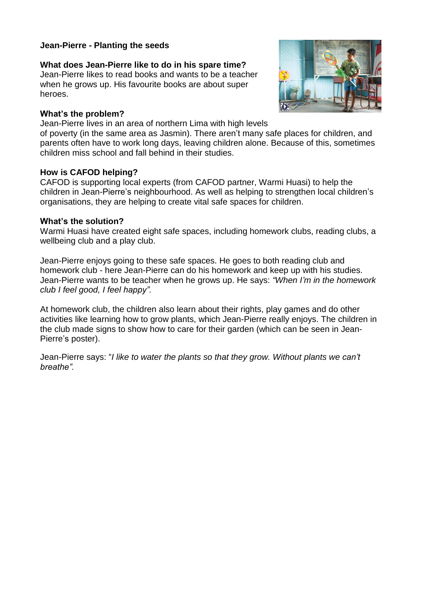#### **Jean-Pierre - Planting the seeds**

#### **What does Jean-Pierre like to do in his spare time?**

Jean-Pierre likes to read books and wants to be a teacher when he grows up. His favourite books are about super heroes.

#### **What's the problem?**

Jean-Pierre lives in an area of northern Lima with high levels

of poverty (in the same area as Jasmin). There aren't many safe places for children, and parents often have to work long days, leaving children alone. Because of this, sometimes children miss school and fall behind in their studies.

#### **How is CAFOD helping?**

CAFOD is supporting local experts (from CAFOD partner, Warmi Huasi) to help the children in Jean-Pierre's neighbourhood. As well as helping to strengthen local children's organisations, they are helping to create vital safe spaces for children.

#### **What's the solution?**

Warmi Huasi have created eight safe spaces, including homework clubs, reading clubs, a wellbeing club and a play club.

Jean-Pierre enjoys going to these safe spaces. He goes to both reading club and homework club - here Jean-Pierre can do his homework and keep up with his studies. Jean-Pierre wants to be teacher when he grows up. He says: *"When I'm in the homework club I feel good, I feel happy".*

At homework club, the children also learn about their rights, play games and do other activities like learning how to grow plants, which Jean-Pierre really enjoys. The children in the club made signs to show how to care for their garden (which can be seen in Jean-Pierre's poster).

Jean-Pierre says: "*I like to water the plants so that they grow. Without plants we can't breathe".*

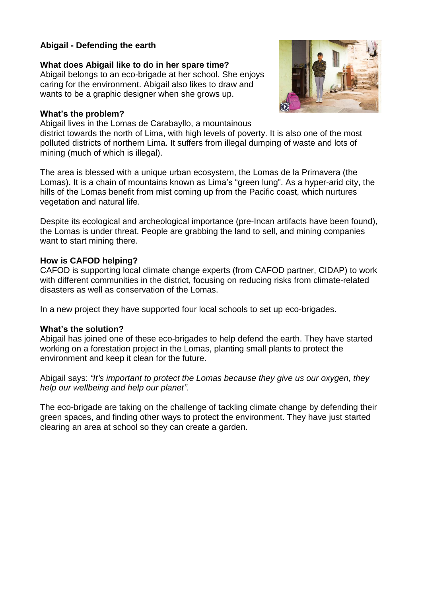### **Abigail - Defending the earth**

#### **What does Abigail like to do in her spare time?**

Abigail belongs to an eco-brigade at her school. She enjoys caring for the environment. Abigail also likes to draw and wants to be a graphic designer when she grows up.

#### **What's the problem?**

Abigail lives in the Lomas de Carabayllo, a mountainous

district towards the north of Lima, with high levels of poverty. It is also one of the most polluted districts of northern Lima. It suffers from illegal dumping of waste and lots of mining (much of which is illegal).

The area is blessed with a unique urban ecosystem, the Lomas de la Primavera (the Lomas). It is a chain of mountains known as Lima's "green lung". As a hyper-arid city, the hills of the Lomas benefit from mist coming up from the Pacific coast, which nurtures vegetation and natural life.

Despite its ecological and archeological importance (pre-Incan artifacts have been found), the Lomas is under threat. People are grabbing the land to sell, and mining companies want to start mining there.

#### **How is CAFOD helping?**

CAFOD is supporting local climate change experts (from CAFOD partner, CIDAP) to work with different communities in the district, focusing on reducing risks from climate-related disasters as well as conservation of the Lomas.

In a new project they have supported four local schools to set up eco-brigades.

#### **What's the solution?**

Abigail has joined one of these eco-brigades to help defend the earth. They have started working on a forestation project in the Lomas, planting small plants to protect the environment and keep it clean for the future.

Abigail says: *"It's important to protect the Lomas because they give us our oxygen, they help our wellbeing and help our planet".*

The eco-brigade are taking on the challenge of tackling climate change by defending their green spaces, and finding other ways to protect the environment. They have just started clearing an area at school so they can create a garden.